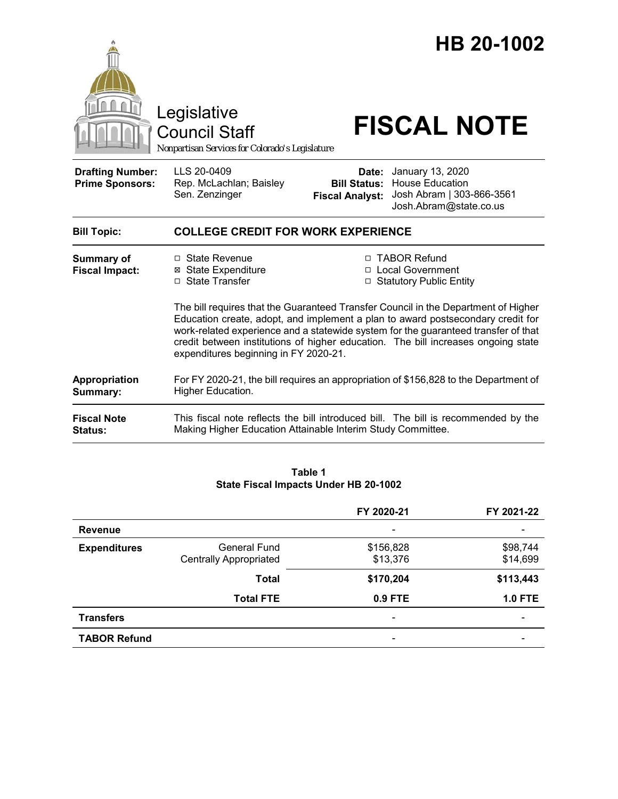|                                                   | Legislative<br><b>Council Staff</b><br>Nonpartisan Services for Colorado's Legislature                                                                                                                                                                                                                                                                                                    |                                                        | HB 20-1002<br><b>FISCAL NOTE</b>                                                                  |  |
|---------------------------------------------------|-------------------------------------------------------------------------------------------------------------------------------------------------------------------------------------------------------------------------------------------------------------------------------------------------------------------------------------------------------------------------------------------|--------------------------------------------------------|---------------------------------------------------------------------------------------------------|--|
| <b>Drafting Number:</b><br><b>Prime Sponsors:</b> | LLS 20-0409<br>Rep. McLachlan; Baisley<br>Sen. Zenzinger                                                                                                                                                                                                                                                                                                                                  | Date:<br><b>Bill Status:</b><br><b>Fiscal Analyst:</b> | January 13, 2020<br><b>House Education</b><br>Josh Abram   303-866-3561<br>Josh.Abram@state.co.us |  |
| <b>Bill Topic:</b>                                | <b>COLLEGE CREDIT FOR WORK EXPERIENCE</b>                                                                                                                                                                                                                                                                                                                                                 |                                                        |                                                                                                   |  |
| Summary of<br><b>Fiscal Impact:</b>               | □ State Revenue<br><b>State Expenditure</b><br>⊠<br>□ State Transfer                                                                                                                                                                                                                                                                                                                      |                                                        | □ TABOR Refund<br>□ Local Government<br>□ Statutory Public Entity                                 |  |
|                                                   | The bill requires that the Guaranteed Transfer Council in the Department of Higher<br>Education create, adopt, and implement a plan to award postsecondary credit for<br>work-related experience and a statewide system for the guaranteed transfer of that<br>credit between institutions of higher education. The bill increases ongoing state<br>expenditures beginning in FY 2020-21. |                                                        |                                                                                                   |  |
| Appropriation<br>Summary:                         | For FY 2020-21, the bill requires an appropriation of \$156,828 to the Department of<br>Higher Education.                                                                                                                                                                                                                                                                                 |                                                        |                                                                                                   |  |
| <b>Fiscal Note</b><br><b>Status:</b>              | Making Higher Education Attainable Interim Study Committee.                                                                                                                                                                                                                                                                                                                               |                                                        | This fiscal note reflects the bill introduced bill. The bill is recommended by the                |  |

| Table 1                               |  |  |  |  |  |
|---------------------------------------|--|--|--|--|--|
| State Fiscal Impacts Under HB 20-1002 |  |  |  |  |  |

|                     |                               | FY 2020-21 | FY 2021-22     |
|---------------------|-------------------------------|------------|----------------|
| <b>Revenue</b>      |                               |            |                |
| <b>Expenditures</b> | General Fund                  | \$156,828  | \$98,744       |
|                     | <b>Centrally Appropriated</b> | \$13,376   | \$14,699       |
|                     | <b>Total</b>                  | \$170,204  | \$113,443      |
|                     | <b>Total FTE</b>              | 0.9 FTE    | <b>1.0 FTE</b> |
| <b>Transfers</b>    |                               |            |                |
| <b>TABOR Refund</b> |                               |            |                |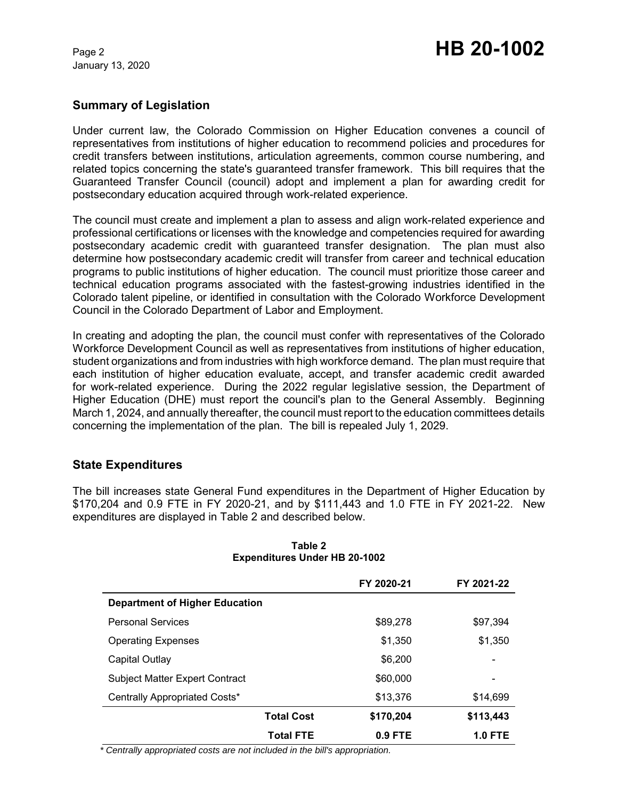January 13, 2020

# **Summary of Legislation**

Under current law, the Colorado Commission on Higher Education convenes a council of representatives from institutions of higher education to recommend policies and procedures for credit transfers between institutions, articulation agreements, common course numbering, and related topics concerning the state's guaranteed transfer framework. This bill requires that the Guaranteed Transfer Council (council) adopt and implement a plan for awarding credit for postsecondary education acquired through work-related experience.

The council must create and implement a plan to assess and align work-related experience and professional certifications or licenses with the knowledge and competencies required for awarding postsecondary academic credit with guaranteed transfer designation. The plan must also determine how postsecondary academic credit will transfer from career and technical education programs to public institutions of higher education. The council must prioritize those career and technical education programs associated with the fastest-growing industries identified in the Colorado talent pipeline, or identified in consultation with the Colorado Workforce Development Council in the Colorado Department of Labor and Employment.

In creating and adopting the plan, the council must confer with representatives of the Colorado Workforce Development Council as well as representatives from institutions of higher education, student organizations and from industries with high workforce demand. The plan must require that each institution of higher education evaluate, accept, and transfer academic credit awarded for work-related experience. During the 2022 regular legislative session, the Department of Higher Education (DHE) must report the council's plan to the General Assembly. Beginning March 1, 2024, and annually thereafter, the council must report to the education committees details concerning the implementation of the plan. The bill is repealed July 1, 2029.

## **State Expenditures**

The bill increases state General Fund expenditures in the Department of Higher Education by \$170,204 and 0.9 FTE in FY 2020-21, and by \$111,443 and 1.0 FTE in FY 2021-22. New expenditures are displayed in Table 2 and described below.

|                                       | FY 2020-21 | FY 2021-22     |
|---------------------------------------|------------|----------------|
| <b>Department of Higher Education</b> |            |                |
| <b>Personal Services</b>              | \$89,278   | \$97,394       |
| <b>Operating Expenses</b>             | \$1,350    | \$1,350        |
| Capital Outlay                        | \$6,200    |                |
| <b>Subject Matter Expert Contract</b> | \$60,000   |                |
| Centrally Appropriated Costs*         | \$13,376   | \$14,699       |
| <b>Total Cost</b>                     | \$170,204  | \$113,443      |
| <b>Total FTE</b>                      | $0.9$ FTE  | <b>1.0 FTE</b> |

### **Table 2 Expenditures Under HB 20-1002**

 *\* Centrally appropriated costs are not included in the bill's appropriation.*